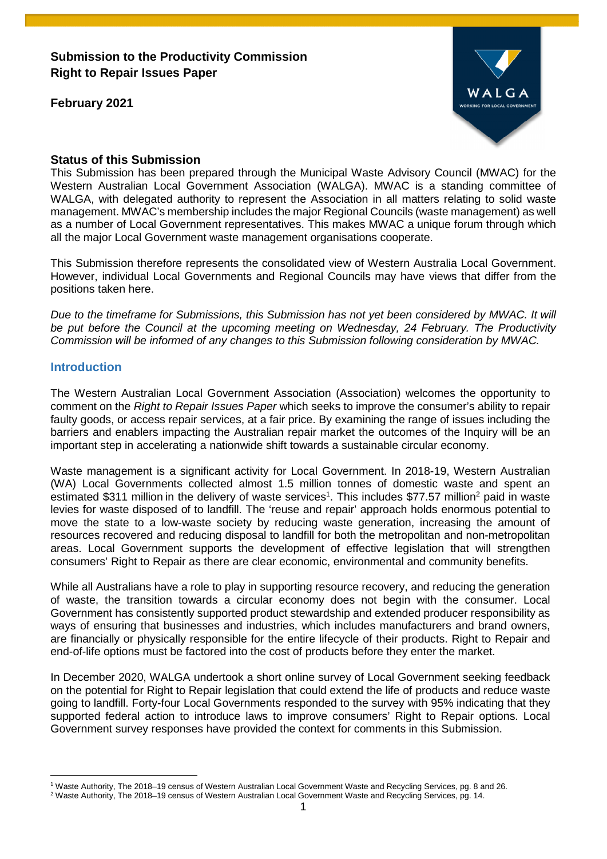**Submission to the Productivity Commission Right to Repair Issues Paper** 

**February 2021** 



# **Status of this Submission**

This Submission has been prepared through the Municipal Waste Advisory Council (MWAC) for the Western Australian Local Government Association (WALGA). MWAC is a standing committee of WALGA, with delegated authority to represent the Association in all matters relating to solid waste management. MWAC's membership includes the major Regional Councils (waste management) as well as a number of Local Government representatives. This makes MWAC a unique forum through which all the major Local Government waste management organisations cooperate.

This Submission therefore represents the consolidated view of Western Australia Local Government. However, individual Local Governments and Regional Councils may have views that differ from the positions taken here.

*Due to the timeframe for Submissions, this Submission has not yet been considered by MWAC. It will be put before the Council at the upcoming meeting on Wednesday, 24 February. The Productivity Commission will be informed of any changes to this Submission following consideration by MWAC.* 

# **Introduction**

The Western Australian Local Government Association (Association) welcomes the opportunity to comment on the *Right to Repair Issues Paper* which seeks to improve the consumer's ability to repair faulty goods, or access repair services, at a fair price. By examining the range of issues including the barriers and enablers impacting the Australian repair market the outcomes of the Inquiry will be an important step in accelerating a nationwide shift towards a sustainable circular economy.

Waste management is a significant activity for Local Government. In 2018-19, Western Australian (WA) Local Governments collected almost 1.5 million tonnes of domestic waste and spent an estimated \$311 million in the delivery of waste services<sup>1</sup>. This includes \$77.57 million<sup>2</sup> paid in waste levies for waste disposed of to landfill. The 'reuse and repair' approach holds enormous potential to move the state to a low-waste society by reducing waste generation, increasing the amount of resources recovered and reducing disposal to landfill for both the metropolitan and non-metropolitan areas. Local Government supports the development of effective legislation that will strengthen consumers' Right to Repair as there are clear economic, environmental and community benefits.

While all Australians have a role to play in supporting resource recovery, and reducing the generation of waste, the transition towards a circular economy does not begin with the consumer. Local Government has consistently supported product stewardship and extended producer responsibility as ways of ensuring that businesses and industries, which includes manufacturers and brand owners, are financially or physically responsible for the entire lifecycle of their products. Right to Repair and end-of-life options must be factored into the cost of products before they enter the market.

In December 2020, WALGA undertook a short online survey of Local Government seeking feedback on the potential for Right to Repair legislation that could extend the life of products and reduce waste going to landfill. Forty-four Local Governments responded to the survey with 95% indicating that they supported federal action to introduce laws to improve consumers' Right to Repair options. Local Government survey responses have provided the context for comments in this Submission.

 $\overline{a}$ <sup>1</sup> Waste Authority, The 2018–19 census of Western Australian Local Government Waste and Recycling Services, pg. 8 and 26.

<sup>2</sup> Waste Authority, The 2018–19 census of Western Australian Local Government Waste and Recycling Services, pg. 14.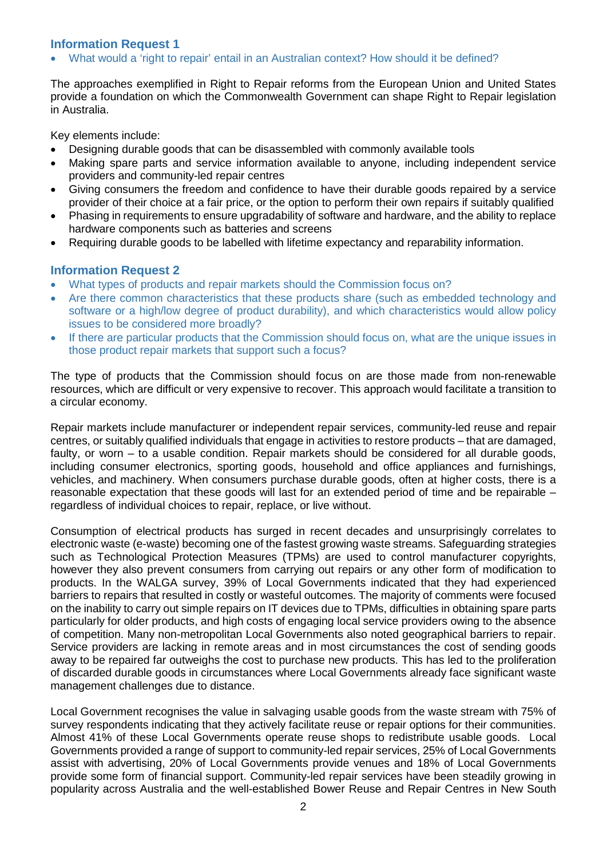# **Information Request 1**

What would a 'right to repair' entail in an Australian context? How should it be defined?

The approaches exemplified in Right to Repair reforms from the European Union and United States provide a foundation on which the Commonwealth Government can shape Right to Repair legislation in Australia.

Key elements include:

- Designing durable goods that can be disassembled with commonly available tools
- Making spare parts and service information available to anyone, including independent service providers and community-led repair centres
- Giving consumers the freedom and confidence to have their durable goods repaired by a service provider of their choice at a fair price, or the option to perform their own repairs if suitably qualified
- Phasing in requirements to ensure upgradability of software and hardware, and the ability to replace hardware components such as batteries and screens
- Requiring durable goods to be labelled with lifetime expectancy and reparability information.

#### **Information Request 2**

- What types of products and repair markets should the Commission focus on?
- Are there common characteristics that these products share (such as embedded technology and software or a high/low degree of product durability), and which characteristics would allow policy issues to be considered more broadly?
- If there are particular products that the Commission should focus on, what are the unique issues in those product repair markets that support such a focus?

The type of products that the Commission should focus on are those made from non-renewable resources, which are difficult or very expensive to recover. This approach would facilitate a transition to a circular economy.

Repair markets include manufacturer or independent repair services, community-led reuse and repair centres, or suitably qualified individuals that engage in activities to restore products – that are damaged, faulty, or worn – to a usable condition. Repair markets should be considered for all durable goods, including consumer electronics, sporting goods, household and office appliances and furnishings, vehicles, and machinery. When consumers purchase durable goods, often at higher costs, there is a reasonable expectation that these goods will last for an extended period of time and be repairable – regardless of individual choices to repair, replace, or live without.

Consumption of electrical products has surged in recent decades and unsurprisingly correlates to electronic waste (e-waste) becoming one of the fastest growing waste streams. Safeguarding strategies such as Technological Protection Measures (TPMs) are used to control manufacturer copyrights, however they also prevent consumers from carrying out repairs or any other form of modification to products. In the WALGA survey, 39% of Local Governments indicated that they had experienced barriers to repairs that resulted in costly or wasteful outcomes. The majority of comments were focused on the inability to carry out simple repairs on IT devices due to TPMs, difficulties in obtaining spare parts particularly for older products, and high costs of engaging local service providers owing to the absence of competition. Many non-metropolitan Local Governments also noted geographical barriers to repair. Service providers are lacking in remote areas and in most circumstances the cost of sending goods away to be repaired far outweighs the cost to purchase new products. This has led to the proliferation of discarded durable goods in circumstances where Local Governments already face significant waste management challenges due to distance.

Local Government recognises the value in salvaging usable goods from the waste stream with 75% of survey respondents indicating that they actively facilitate reuse or repair options for their communities. Almost 41% of these Local Governments operate reuse shops to redistribute usable goods. Local Governments provided a range of support to community-led repair services, 25% of Local Governments assist with advertising, 20% of Local Governments provide venues and 18% of Local Governments provide some form of financial support. Community-led repair services have been steadily growing in popularity across Australia and the well-established Bower Reuse and Repair Centres in New South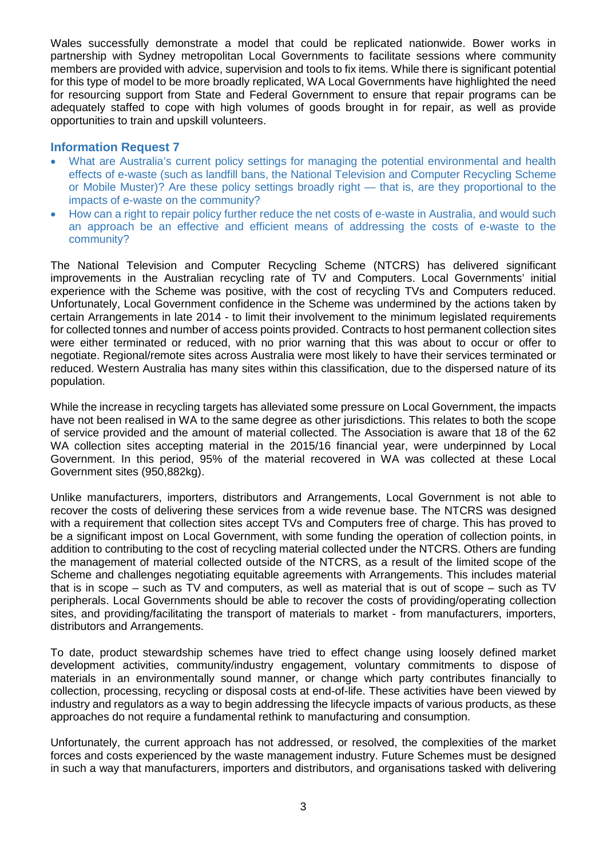Wales successfully demonstrate a model that could be replicated nationwide. Bower works in partnership with Sydney metropolitan Local Governments to facilitate sessions where community members are provided with advice, supervision and tools to fix items. While there is significant potential for this type of model to be more broadly replicated, WA Local Governments have highlighted the need for resourcing support from State and Federal Government to ensure that repair programs can be adequately staffed to cope with high volumes of goods brought in for repair, as well as provide opportunities to train and upskill volunteers.

# **Information Request 7**

- What are Australia's current policy settings for managing the potential environmental and health effects of e-waste (such as landfill bans, the National Television and Computer Recycling Scheme or Mobile Muster)? Are these policy settings broadly right — that is, are they proportional to the impacts of e-waste on the community?
- How can a right to repair policy further reduce the net costs of e-waste in Australia, and would such an approach be an effective and efficient means of addressing the costs of e-waste to the community?

The National Television and Computer Recycling Scheme (NTCRS) has delivered significant improvements in the Australian recycling rate of TV and Computers. Local Governments' initial experience with the Scheme was positive, with the cost of recycling TVs and Computers reduced. Unfortunately, Local Government confidence in the Scheme was undermined by the actions taken by certain Arrangements in late 2014 - to limit their involvement to the minimum legislated requirements for collected tonnes and number of access points provided. Contracts to host permanent collection sites were either terminated or reduced, with no prior warning that this was about to occur or offer to negotiate. Regional/remote sites across Australia were most likely to have their services terminated or reduced. Western Australia has many sites within this classification, due to the dispersed nature of its population.

While the increase in recycling targets has alleviated some pressure on Local Government, the impacts have not been realised in WA to the same degree as other jurisdictions. This relates to both the scope of service provided and the amount of material collected. The Association is aware that 18 of the 62 WA collection sites accepting material in the 2015/16 financial year, were underpinned by Local Government. In this period, 95% of the material recovered in WA was collected at these Local Government sites (950,882kg).

Unlike manufacturers, importers, distributors and Arrangements, Local Government is not able to recover the costs of delivering these services from a wide revenue base. The NTCRS was designed with a requirement that collection sites accept TVs and Computers free of charge. This has proved to be a significant impost on Local Government, with some funding the operation of collection points, in addition to contributing to the cost of recycling material collected under the NTCRS. Others are funding the management of material collected outside of the NTCRS, as a result of the limited scope of the Scheme and challenges negotiating equitable agreements with Arrangements. This includes material that is in scope – such as TV and computers, as well as material that is out of scope – such as TV peripherals. Local Governments should be able to recover the costs of providing/operating collection sites, and providing/facilitating the transport of materials to market - from manufacturers, importers, distributors and Arrangements.

To date, product stewardship schemes have tried to effect change using loosely defined market development activities, community/industry engagement, voluntary commitments to dispose of materials in an environmentally sound manner, or change which party contributes financially to collection, processing, recycling or disposal costs at end-of-life. These activities have been viewed by industry and regulators as a way to begin addressing the lifecycle impacts of various products, as these approaches do not require a fundamental rethink to manufacturing and consumption.

Unfortunately, the current approach has not addressed, or resolved, the complexities of the market forces and costs experienced by the waste management industry. Future Schemes must be designed in such a way that manufacturers, importers and distributors, and organisations tasked with delivering